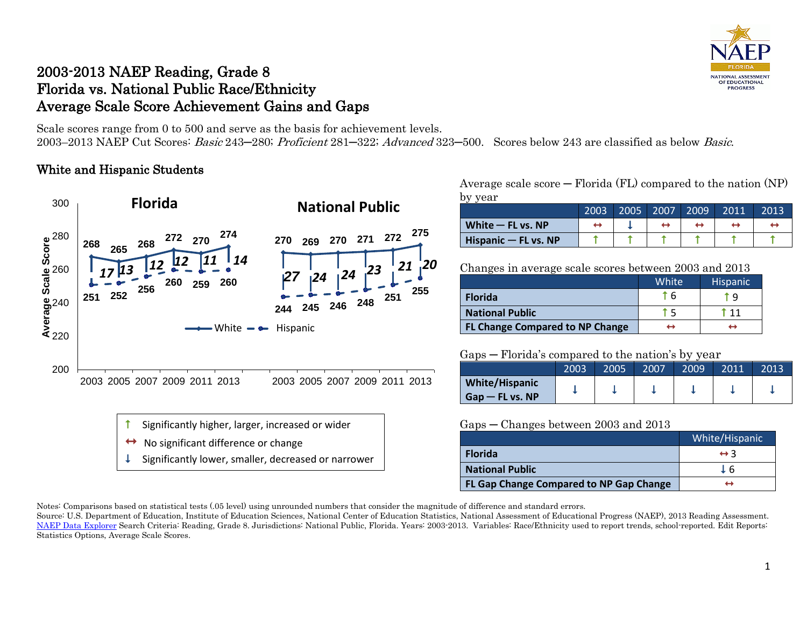

## 2003-2013 NAEP Reading, Grade 8 Florida vs. National Public Race/Ethnicity Average Scale Score Achievement Gains and Gaps

Scale scores range from 0 to 500 and serve as the basis for achievement levels. 2003–2013 NAEP Cut Scores: Basic 243─280; Proficient 281─322; Advanced 323─500. Scores below 243 are classified as below Basic.

### White and Hispanic Students



Average scale  $score - Florida (FL)$  compared to the nation  $(NP)$ by year

|                      | 2003' | 2005 | 2007 | 2009 | 2011 | 2013 |
|----------------------|-------|------|------|------|------|------|
| White $-$ FL vs. NP  |       |      |      |      |      |      |
| Hispanic - FL vs. NP |       |      |      |      |      |      |

Changes in average scale scores between 2003 and 2013

|                                        | White <sup>'</sup> | <b>Hispanic</b> |
|----------------------------------------|--------------------|-----------------|
| <b>Florida</b>                         | ፐ 6                | Τ۹              |
| <b>National Public</b>                 | тҕ                 | $^{\circ}$ 11   |
| <b>FL Change Compared to NP Change</b> | ⊷                  |                 |

#### Gaps ─ Florida's compared to the nation's by year

| $\sim$ $\sim$ $\sim$<br>$1.011$ and $0.0111$ part can be villed that the $\sigma$ , $\sigma$ , $\sigma$ , $\sigma$ |      |      |      |      |      |      |
|--------------------------------------------------------------------------------------------------------------------|------|------|------|------|------|------|
|                                                                                                                    | 2003 | 2005 | 2007 | 2009 | 2011 | 2013 |
| <b>White/Hispanic</b>                                                                                              |      |      |      |      |      |      |
| $G$ ap — FL vs. NP                                                                                                 |      |      |      |      |      |      |

#### Gaps ─ Changes between 2003 and 2013

|                                         | White/Hispanic      |
|-----------------------------------------|---------------------|
| <b>Florida</b>                          | $\leftrightarrow$ 3 |
| <b>National Public</b>                  | T 6                 |
| FL Gap Change Compared to NP Gap Change |                     |

Notes: Comparisons based on statistical tests (.05 level) using unrounded numbers that consider the magnitude of difference and standard errors.

Source: U.S. Department of Education, Institute of Education Sciences, National Center of Education Statistics, National Assessment of Educational Progress (NAEP), 2013 Reading Assessment. [NAEP Data Explorer](http://nces.ed.gov/nationsreportcard/naepdata/) Search Criteria: Reading, Grade 8. Jurisdictions: National Public, Florida. Years: 2003-2013. Variables: Race/Ethnicity used to report trends, school-reported. Edit Reports: Statistics Options, Average Scale Scores.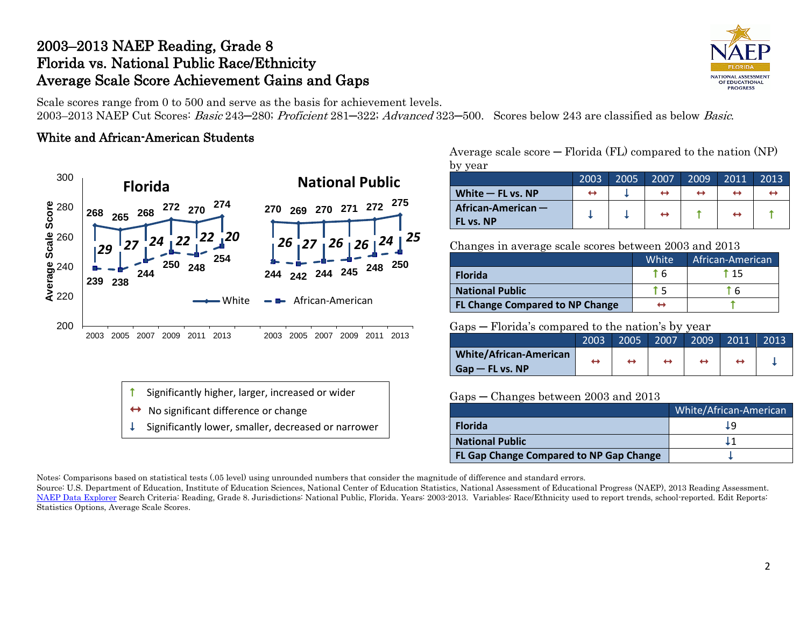## 2003–2013 NAEP Reading, Grade 8 Florida vs. National Public Race/Ethnicity Average Scale Score Achievement Gains and Gaps

Scale scores range from 0 to 500 and serve as the basis for achievement levels.

2003–2013 NAEP Cut Scores: Basic 243–280; Proficient 281–322; Advanced 323–500. Scores below 243 are classified as below Basic.

### White and African-American Students





- No significant difference or change
- Significantly lower, smaller, decreased or narrower

Average scale  $score - Florida (FL)$  compared to the nation  $(NP)$ by year

| ັ                                 | 2003 | 2005 | 2007              | 2009 | 2011 | 2013 |
|-----------------------------------|------|------|-------------------|------|------|------|
| White $-$ FL vs. NP               | ↔    |      | $\leftrightarrow$ | ↔    |      |      |
| African-American $-$<br>FL vs. NP |      |      | $\leftrightarrow$ |      | ↔    |      |

Changes in average scale scores between 2003 and 2013

|                                        | White <sup>'</sup> | African-American |
|----------------------------------------|--------------------|------------------|
| <b>Florida</b>                         | t 6                | t 15             |
| <b>National Public</b>                 |                    | ` 6              |
| <b>FL Change Compared to NP Change</b> |                    |                  |

Gaps ─ Florida's compared to the nation's by year

|                               | 2003 | 2005 | 2007 | 2009 | 2011 | 2013 |
|-------------------------------|------|------|------|------|------|------|
| <b>White/African-American</b> | ↤    | ↔    |      |      |      |      |
| $G$ ap — FL vs. NP            |      |      |      |      |      |      |

#### Gaps ─ Changes between 2003 and 2013

|                                         | White/African-American |
|-----------------------------------------|------------------------|
| <b>Florida</b>                          | Ţd                     |
| <b>National Public</b>                  |                        |
| FL Gap Change Compared to NP Gap Change |                        |

Notes: Comparisons based on statistical tests (.05 level) using unrounded numbers that consider the magnitude of difference and standard errors.

Source: U.S. Department of Education, Institute of Education Sciences, National Center of Education Statistics, National Assessment of Educational Progress (NAEP), 2013 Reading Assessment. [NAEP Data Explorer](http://nces.ed.gov/nationsreportcard/naepdata/) Search Criteria: Reading, Grade 8. Jurisdictions: National Public, Florida. Years: 2003-2013. Variables: Race/Ethnicity used to report trends, school-reported. Edit Reports: Statistics Options, Average Scale Scores.

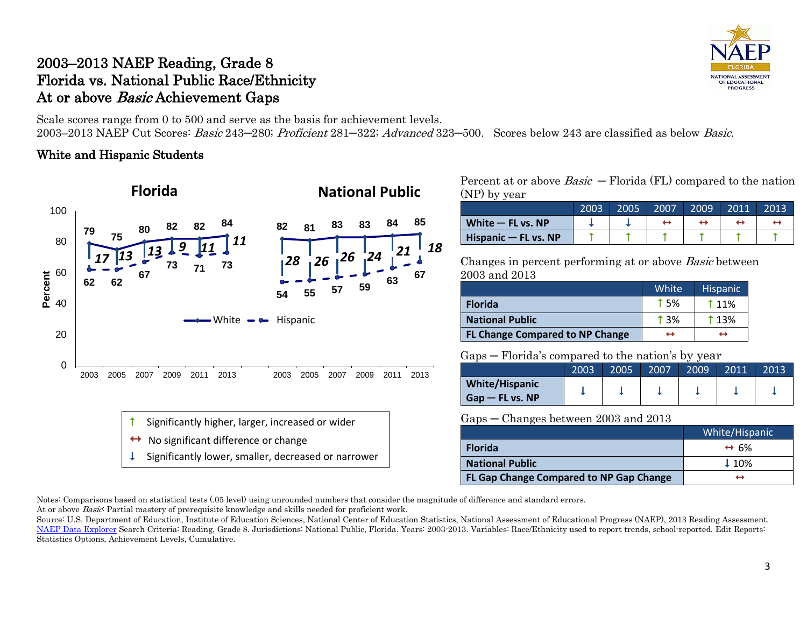## 2003–2013 NAEP Reading, Grade 8 Florida vs. National Public Race/Ethnicity At or above *Basic* Achievement Gaps

Scale scores range from 0 to 500 and serve as the basis for achievement levels. 2003–2013 NAEP Cut Scores: Basic 243–280; Proficient 281–322; Advanced 323–500. Scores below 243 are classified as below Basic.

### White and Hispanic Students



Percent at or above  $Basic$  – Florida (FL) compared to the nation (NP) by year

|                        | 2003 | 2005 | 2007 | 2009 | 2011 | 2013 |
|------------------------|------|------|------|------|------|------|
| White $-$ FL vs. NP    |      |      |      |      |      |      |
| Hispanic $-$ FL vs. NP |      |      |      |      |      |      |

Changes in percent performing at or above Basic between 2003 and 2013

|                                        | <b>White</b>  | <b>Hispanic</b> |
|----------------------------------------|---------------|-----------------|
| <b>Florida</b>                         | <b>15%</b>    | <b>11%</b>      |
| <b>National Public</b>                 | $\uparrow$ 3% | <b>13%</b>      |
| <b>FL Change Compared to NP Change</b> | ↔             | ↔               |

#### Gaps ─ Florida's compared to the nation's by year

|                       | 2003 | 2005 | 2007 | 2009' | 2011 | 2013 |
|-----------------------|------|------|------|-------|------|------|
| <b>White/Hispanic</b> |      |      |      |       |      |      |
| Gap — FL vs. NP       |      |      |      |       |      |      |

#### Gaps ─ Changes between 2003 and 2013

|                                         | White/Hispanic       |
|-----------------------------------------|----------------------|
| <b>Florida</b>                          | $\leftrightarrow$ 6% |
| <b>National Public</b>                  | $\downarrow$ 10%     |
| FL Gap Change Compared to NP Gap Change | ↤                    |

Notes: Comparisons based on statistical tests (.05 level) using unrounded numbers that consider the magnitude of difference and standard errors.

At or above *Basic*: Partial mastery of prerequisite knowledge and skills needed for proficient work.

Source: U.S. Department of Education, Institute of Education Sciences, National Center of Education Statistics, National Assessment of Educational Progress (NAEP), 2013 Reading Assessment. [NAEP Data Explorer](http://nces.ed.gov/nationsreportcard/naepdata/) Search Criteria: Reading, Grade 8. Jurisdictions: National Public, Florida. Years: 2003-2013. Variables: Race/Ethnicity used to report trends, school-reported. Edit Reports: Statistics Options, Achievement Levels, Cumulative.

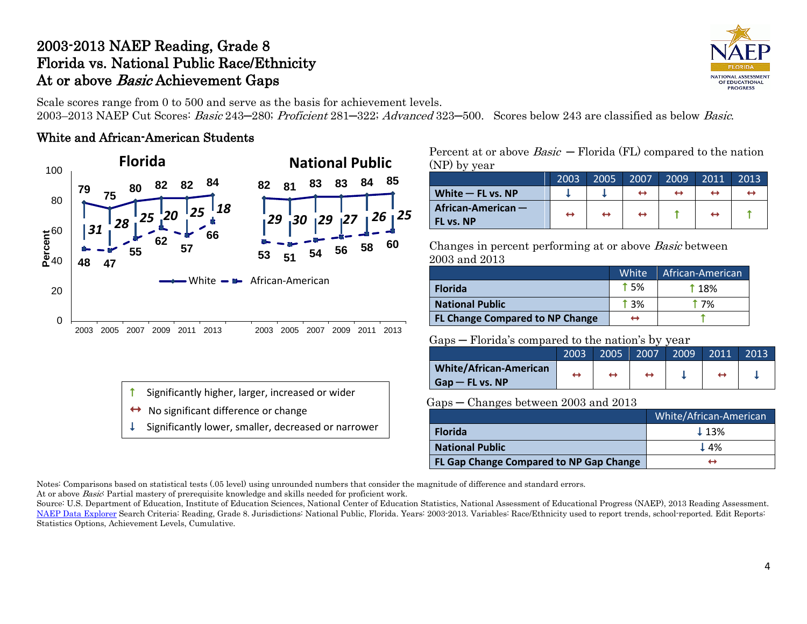# 2003-2013 NAEP Reading, Grade 8 Florida vs. National Public Race/Ethnicity At or above *Basic* Achievement Gaps

Scale scores range from 0 to 500 and serve as the basis for achievement levels.

2003–2013 NAEP Cut Scores: Basic 243–280; Proficient 281–322; Advanced 323–500. Scores below 243 are classified as below Basic.

### White and African-American Students



Percent at or above  $Basic$  – Florida (FL) compared to the nation (NP) by year

|                                   | 2003 | 2005              | 2007 | 2009 | 2011 | 2013 |
|-----------------------------------|------|-------------------|------|------|------|------|
| White $-$ FL vs. NP               |      |                   |      |      |      |      |
| African-American $-$<br>FL vs. NP | ↔    | $\leftrightarrow$ |      |      |      |      |

Changes in percent performing at or above Basic between 2003 and 2013

|                                        | White      | African-American |
|----------------------------------------|------------|------------------|
| <b>Florida</b>                         | <b>15%</b> | <b>18%</b>       |
| <b>National Public</b>                 | † 3%       | † 7%             |
| <b>FL Change Compared to NP Change</b> |            |                  |

### Gaps ─ Florida's compared to the nation's by year

|                               | 2003 | 2005 | 2007 | 2009 | 2011 | 2013 |
|-------------------------------|------|------|------|------|------|------|
| <b>White/African-American</b> |      |      |      |      |      |      |
| $Gap - FL vs. NP$             |      |      |      |      |      |      |

### Gaps ─ Changes between 2003 and 2013

|                                         | White/African-American |
|-----------------------------------------|------------------------|
| <b>Florida</b>                          | $\perp$ 13%            |
| <b>National Public</b>                  | $\perp$ 4%             |
| FL Gap Change Compared to NP Gap Change |                        |

Notes: Comparisons based on statistical tests (.05 level) using unrounded numbers that consider the magnitude of difference and standard errors. At or above Basic: Partial mastery of prerequisite knowledge and skills needed for proficient work.

Source: U.S. Department of Education, Institute of Education Sciences, National Center of Education Statistics, National Assessment of Educational Progress (NAEP), 2013 Reading Assessment. [NAEP Data Explorer](http://nces.ed.gov/nationsreportcard/naepdata/) Search Criteria: Reading, Grade 8. Jurisdictions: National Public, Florida. Years: 2003-2013. Variables: Race/Ethnicity used to report trends, school-reported. Edit Reports:

Statistics Options, Achievement Levels, Cumulative.

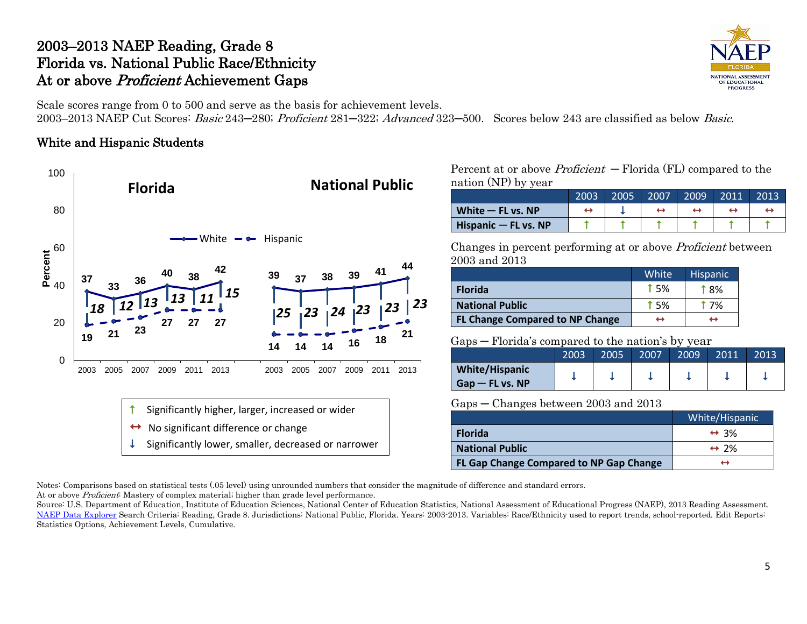# 2003–2013 NAEP Reading, Grade 8 Florida vs. National Public Race/Ethnicity At or above *Proficient* Achievement Gaps



Scale scores range from 0 to 500 and serve as the basis for achievement levels.

2003–2013 NAEP Cut Scores: Basic 243–280; Proficient 281–322; Advanced 323–500. Scores below 243 are classified as below Basic.

## White and Hispanic Students



Percent at or above *Proficient*  $-$  Florida (FL) compared to the nation (NP) by year

|                        | 2003 | 2005 | 2007 | 2009 | 2011 | 2013 |
|------------------------|------|------|------|------|------|------|
| White $-$ FL vs. NP    |      |      |      |      |      |      |
| Hispanic $-$ FL vs. NP |      |      |      |      |      |      |

Changes in percent performing at or above Proficient between 2003 and 2013

|                                        | White <sup>1</sup> | <b>Hispanic</b> |
|----------------------------------------|--------------------|-----------------|
| <b>Florida</b>                         | 15%                | † ጸ%            |
| <b>National Public</b>                 | 1.5%               | † 7%            |
| <b>FL Change Compared to NP Change</b> | ↔                  | ↔               |

### Gaps ─ Florida's compared to the nation's by year

|                                            | 2003 | 2005 | 2007 | 2009 | 2011 | 2013 |
|--------------------------------------------|------|------|------|------|------|------|
| <b>White/Hispanic</b><br>$Gap - FL vs. NP$ |      |      |      |      |      |      |

#### Gaps ─ Changes between 2003 and 2013

|                                         | White/Hispanic       |
|-----------------------------------------|----------------------|
| <b>Florida</b>                          | $\leftrightarrow$ 3% |
| <b>National Public</b>                  | $\leftrightarrow$ 2% |
| FL Gap Change Compared to NP Gap Change |                      |

Notes: Comparisons based on statistical tests (.05 level) using unrounded numbers that consider the magnitude of difference and standard errors.

At or above Proficient: Mastery of complex material; higher than grade level performance.

Source: U.S. Department of Education, Institute of Education Sciences, National Center of Education Statistics, National Assessment of Educational Progress (NAEP), 2013 Reading Assessment. [NAEP Data Explorer](http://nces.ed.gov/nationsreportcard/naepdata/) Search Criteria: Reading, Grade 8. Jurisdictions: National Public, Florida. Years: 2003-2013. Variables: Race/Ethnicity used to report trends, school-reported. Edit Reports: Statistics Options, Achievement Levels, Cumulative.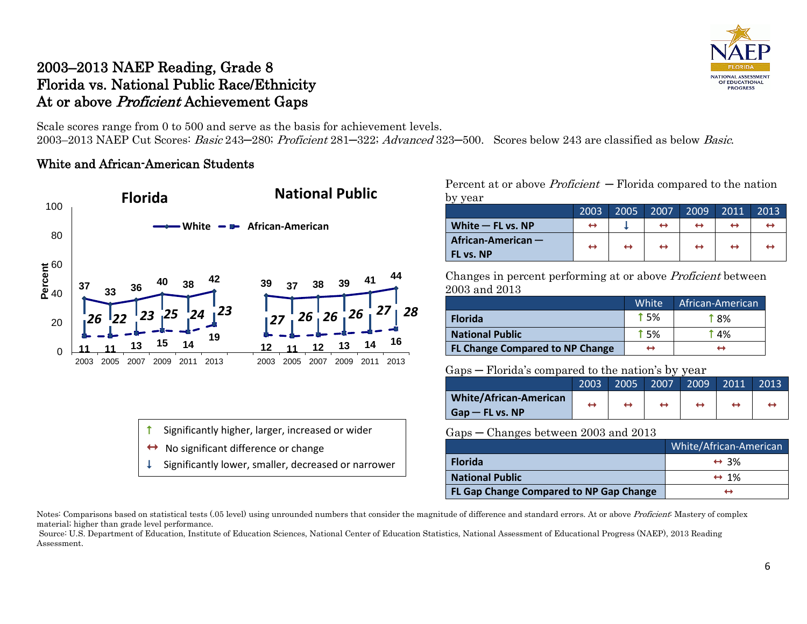

## 2003–2013 NAEP Reading, Grade 8 Florida vs. National Public Race/Ethnicity At or above *Proficient* Achievement Gaps

Scale scores range from 0 to 500 and serve as the basis for achievement levels. 2003–2013 NAEP Cut Scores: Basic 243–280; Proficient 281–322; Advanced 323–500. Scores below 243 are classified as below Basic.

### White and African-American Students



Percent at or above  $Profit - Florida$  compared to the nation by year

|                                 | 2003              | 2005              | 2007 | 2009              | 2011              | 2013 |
|---------------------------------|-------------------|-------------------|------|-------------------|-------------------|------|
| White $-$ FL vs. NP             | ↔                 |                   |      | ↔                 |                   |      |
| African-American -<br>FL vs. NP | $\leftrightarrow$ | $\leftrightarrow$ | ↔    | $\leftrightarrow$ | $\leftrightarrow$ |      |

Changes in percent performing at or above Proficient between 2003 and 2013

|                                        | White       | African-American |
|----------------------------------------|-------------|------------------|
| <b>Florida</b>                         | <b>t</b> 5% | † ጸ%             |
| <b>National Public</b>                 | <b>t</b> 5% | † 4%             |
| <b>FL Change Compared to NP Change</b> | ↔           |                  |

Gaps ─ Florida's compared to the nation's by year

|                               | 2003 | 2005 | 2007 | 2009 | 2011 | 2013 |
|-------------------------------|------|------|------|------|------|------|
| <b>White/African-American</b> | ↔    | ↔    |      |      |      |      |
| $Gap - FL vs. NP$             |      |      |      |      |      |      |

Gaps – Changes between 2003 and 2013

| $\sim$ $\sim$ $\sim$ $\sim$             |                        |
|-----------------------------------------|------------------------|
|                                         | White/African-American |
| <b>Florida</b>                          | $\leftrightarrow$ 3%   |
| <b>National Public</b>                  | $\leftrightarrow$ 1%   |
| FL Gap Change Compared to NP Gap Change | ↤                      |

Notes: Comparisons based on statistical tests (.05 level) using unrounded numbers that consider the magnitude of difference and standard errors. At or above Proficient: Mastery of complex material; higher than grade level performance.

Source: U.S. Department of Education, Institute of Education Sciences, National Center of Education Statistics, National Assessment of Educational Progress (NAEP), 2013 Reading Assessment.